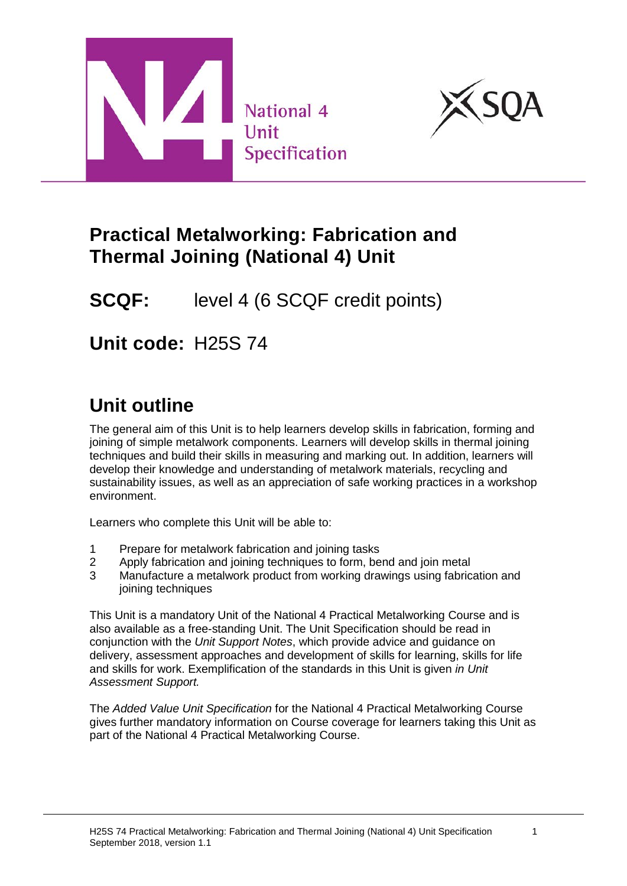



## **Practical Metalworking: Fabrication and Thermal Joining (National 4) Unit**

# **SCQF:** level 4 (6 SCQF credit points)

# **Unit code:** H25S 74

# **Unit outline**

The general aim of this Unit is to help learners develop skills in fabrication, forming and joining of simple metalwork components. Learners will develop skills in thermal joining techniques and build their skills in measuring and marking out. In addition, learners will develop their knowledge and understanding of metalwork materials, recycling and sustainability issues, as well as an appreciation of safe working practices in a workshop environment.

Learners who complete this Unit will be able to:

- 1 Prepare for metalwork fabrication and joining tasks
- 2 Apply fabrication and joining techniques to form, bend and join metal
- 3 Manufacture a metalwork product from working drawings using fabrication and joining techniques

This Unit is a mandatory Unit of the National 4 Practical Metalworking Course and is also available as a free-standing Unit. The Unit Specification should be read in conjunction with the *Unit Support Notes*, which provide advice and guidance on delivery, assessment approaches and development of skills for learning, skills for life and skills for work. Exemplification of the standards in this Unit is given *in Unit Assessment Support.*

The *Added Value Unit Specification* for the National 4 Practical Metalworking Course gives further mandatory information on Course coverage for learners taking this Unit as part of the National 4 Practical Metalworking Course.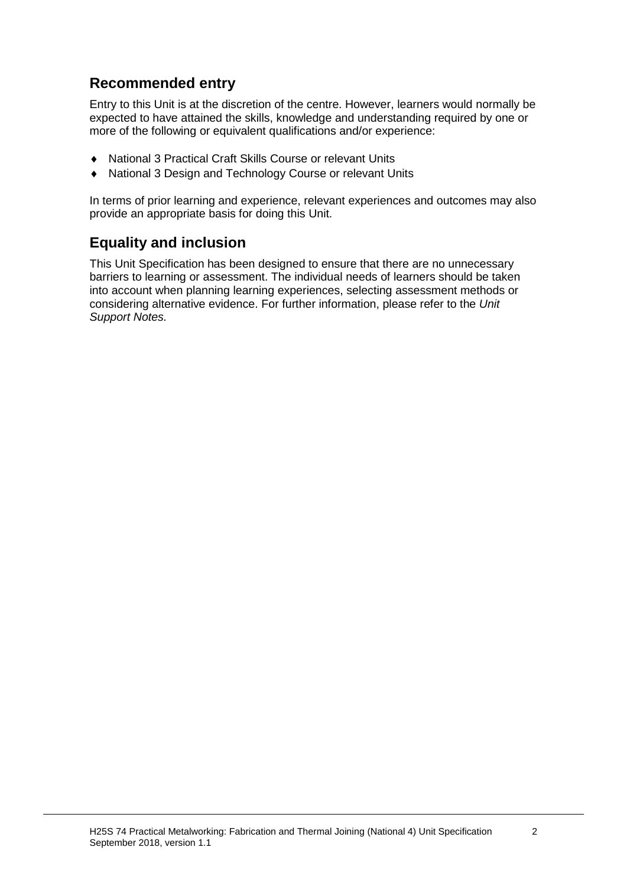### **Recommended entry**

Entry to this Unit is at the discretion of the centre. However, learners would normally be expected to have attained the skills, knowledge and understanding required by one or more of the following or equivalent qualifications and/or experience:

- ♦ National 3 Practical Craft Skills Course or relevant Units
- National 3 Design and Technology Course or relevant Units

In terms of prior learning and experience, relevant experiences and outcomes may also provide an appropriate basis for doing this Unit.

#### **Equality and inclusion**

This Unit Specification has been designed to ensure that there are no unnecessary barriers to learning or assessment. The individual needs of learners should be taken into account when planning learning experiences, selecting assessment methods or considering alternative evidence. For further information, please refer to the *Unit Support Notes.*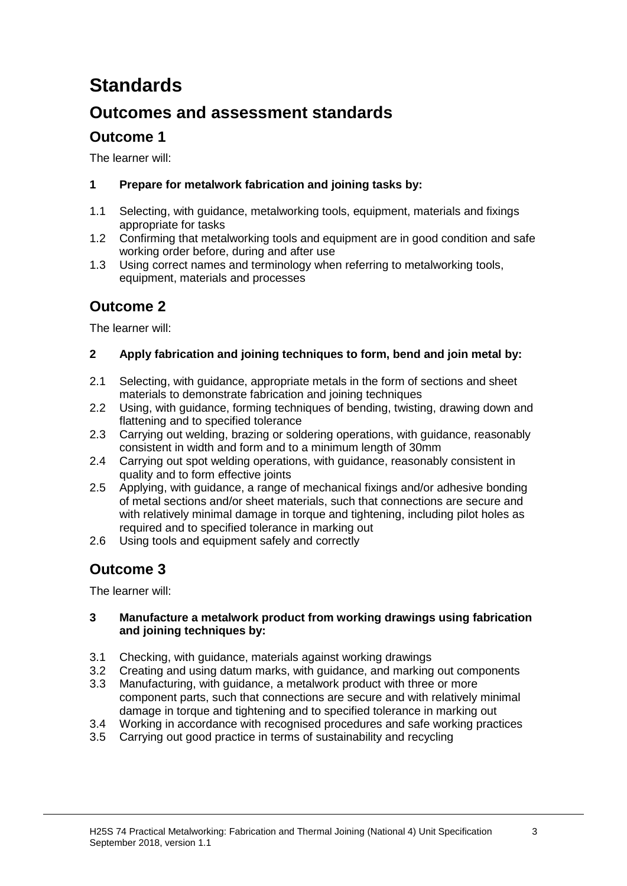# **Standards**

### **Outcomes and assessment standards**

### **Outcome 1**

The learner will:

#### **1 Prepare for metalwork fabrication and joining tasks by:**

- 1.1 Selecting, with guidance, metalworking tools, equipment, materials and fixings appropriate for tasks
- 1.2 Confirming that metalworking tools and equipment are in good condition and safe working order before, during and after use
- 1.3 Using correct names and terminology when referring to metalworking tools, equipment, materials and processes

### **Outcome 2**

The learner will:

#### **2 Apply fabrication and joining techniques to form, bend and join metal by:**

- 2.1 Selecting, with guidance, appropriate metals in the form of sections and sheet materials to demonstrate fabrication and joining techniques
- 2.2 Using, with guidance, forming techniques of bending, twisting, drawing down and flattening and to specified tolerance
- 2.3 Carrying out welding, brazing or soldering operations, with guidance, reasonably consistent in width and form and to a minimum length of 30mm
- 2.4 Carrying out spot welding operations, with guidance, reasonably consistent in quality and to form effective joints
- 2.5 Applying, with guidance, a range of mechanical fixings and/or adhesive bonding of metal sections and/or sheet materials, such that connections are secure and with relatively minimal damage in torque and tightening, including pilot holes as required and to specified tolerance in marking out
- 2.6 Using tools and equipment safely and correctly

### **Outcome 3**

The learner will:

#### **3 Manufacture a metalwork product from working drawings using fabrication and joining techniques by:**

- 3.1 Checking, with guidance, materials against working drawings
- 3.2 Creating and using datum marks, with guidance, and marking out components
- 3.3 Manufacturing, with guidance, a metalwork product with three or more component parts, such that connections are secure and with relatively minimal damage in torque and tightening and to specified tolerance in marking out
- 3.4 Working in accordance with recognised procedures and safe working practices
- 3.5 Carrying out good practice in terms of sustainability and recycling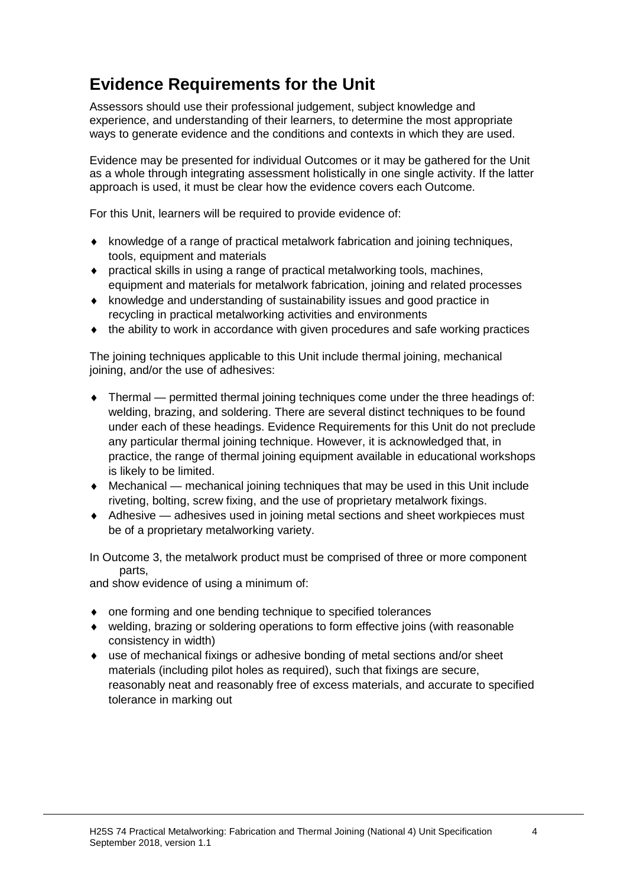## **Evidence Requirements for the Unit**

Assessors should use their professional judgement, subject knowledge and experience, and understanding of their learners, to determine the most appropriate ways to generate evidence and the conditions and contexts in which they are used.

Evidence may be presented for individual Outcomes or it may be gathered for the Unit as a whole through integrating assessment holistically in one single activity. If the latter approach is used, it must be clear how the evidence covers each Outcome.

For this Unit, learners will be required to provide evidence of:

- ♦ knowledge of a range of practical metalwork fabrication and joining techniques, tools, equipment and materials
- ♦ practical skills in using a range of practical metalworking tools, machines, equipment and materials for metalwork fabrication, joining and related processes
- ♦ knowledge and understanding of sustainability issues and good practice in recycling in practical metalworking activities and environments
- ♦ the ability to work in accordance with given procedures and safe working practices

The joining techniques applicable to this Unit include thermal joining, mechanical joining, and/or the use of adhesives:

- ♦ Thermal permitted thermal joining techniques come under the three headings of: welding, brazing, and soldering. There are several distinct techniques to be found under each of these headings. Evidence Requirements for this Unit do not preclude any particular thermal joining technique. However, it is acknowledged that, in practice, the range of thermal joining equipment available in educational workshops is likely to be limited.
- $\bullet$  Mechanical mechanical joining techniques that may be used in this Unit include riveting, bolting, screw fixing, and the use of proprietary metalwork fixings.
- ♦ Adhesive adhesives used in joining metal sections and sheet workpieces must be of a proprietary metalworking variety.

In Outcome 3, the metalwork product must be comprised of three or more component parts,

and show evidence of using a minimum of:

- ♦ one forming and one bending technique to specified tolerances
- ♦ welding, brazing or soldering operations to form effective joins (with reasonable consistency in width)
- ♦ use of mechanical fixings or adhesive bonding of metal sections and/or sheet materials (including pilot holes as required), such that fixings are secure, reasonably neat and reasonably free of excess materials, and accurate to specified tolerance in marking out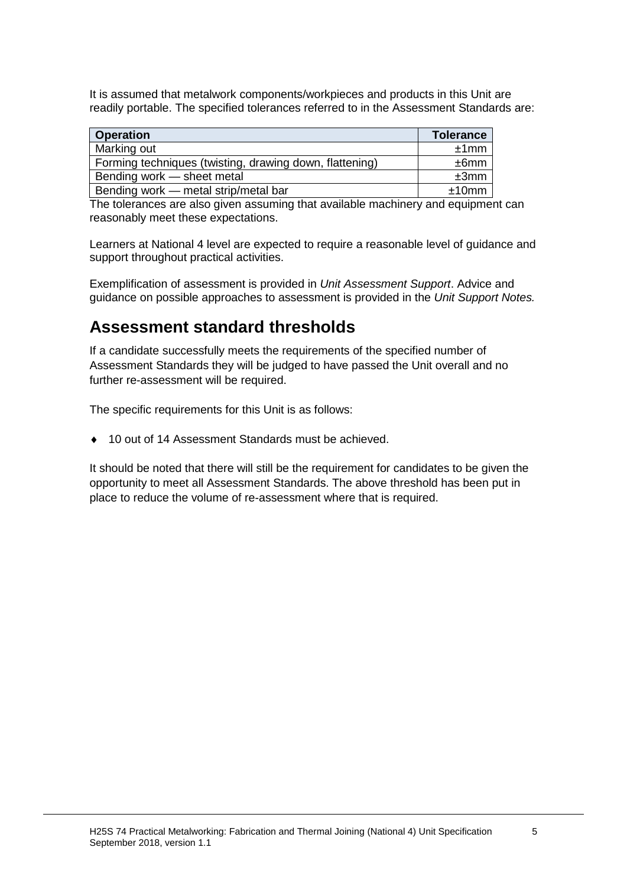It is assumed that metalwork components/workpieces and products in this Unit are readily portable. The specified tolerances referred to in the Assessment Standards are:

| <b>Operation</b>                                        | <b>Tolerance</b> |
|---------------------------------------------------------|------------------|
| Marking out                                             | ±1mm             |
| Forming techniques (twisting, drawing down, flattening) | ±6mm             |
| Bending work – sheet metal                              | ±3mm             |
| Bending work — metal strip/metal bar                    | ±10mm            |

The tolerances are also given assuming that available machinery and equipment can reasonably meet these expectations.

Learners at National 4 level are expected to require a reasonable level of guidance and support throughout practical activities.

Exemplification of assessment is provided in *Unit Assessment Support*. Advice and guidance on possible approaches to assessment is provided in the *Unit Support Notes.*

### **Assessment standard thresholds**

If a candidate successfully meets the requirements of the specified number of Assessment Standards they will be judged to have passed the Unit overall and no further re-assessment will be required.

The specific requirements for this Unit is as follows:

♦ 10 out of 14 Assessment Standards must be achieved.

It should be noted that there will still be the requirement for candidates to be given the opportunity to meet all Assessment Standards. The above threshold has been put in place to reduce the volume of re-assessment where that is required.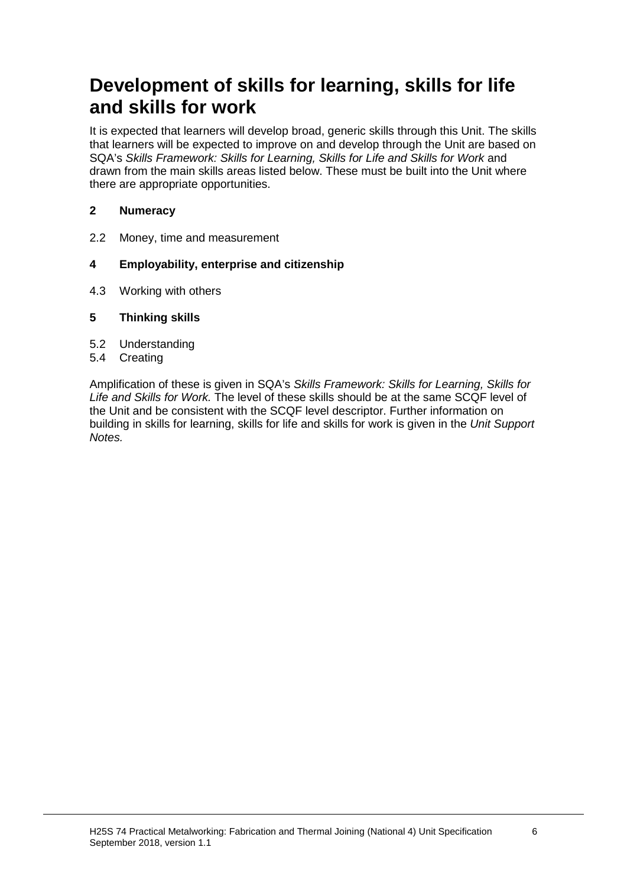# **Development of skills for learning, skills for life and skills for work**

It is expected that learners will develop broad, generic skills through this Unit. The skills that learners will be expected to improve on and develop through the Unit are based on SQA's *Skills Framework: Skills for Learning, Skills for Life and Skills for Work* and drawn from the main skills areas listed below. These must be built into the Unit where there are appropriate opportunities.

#### **2 Numeracy**

2.2 Money, time and measurement

#### **4 Employability, enterprise and citizenship**

4.3 Working with others

#### **5 Thinking skills**

- 5.2 Understanding
- 5.4 Creating

Amplification of these is given in SQA's *Skills Framework: Skills for Learning, Skills for Life and Skills for Work.* The level of these skills should be at the same SCQF level of the Unit and be consistent with the SCQF level descriptor. Further information on building in skills for learning, skills for life and skills for work is given in the *Unit Support Notes.*